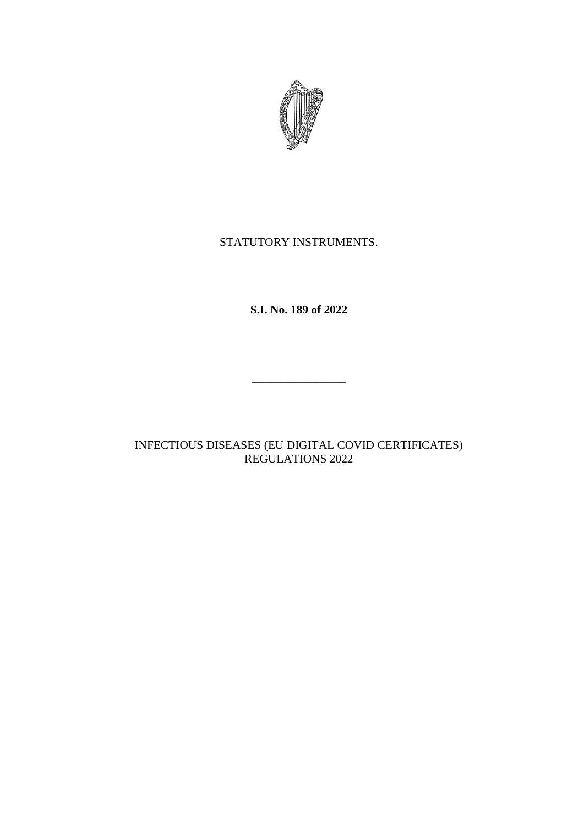

# STATUTORY INSTRUMENTS.

**S.I. No. 189 of 2022**

INFECTIOUS DISEASES (EU DIGITAL COVID CERTIFICATES) REGULATIONS 2022

\_\_\_\_\_\_\_\_\_\_\_\_\_\_\_\_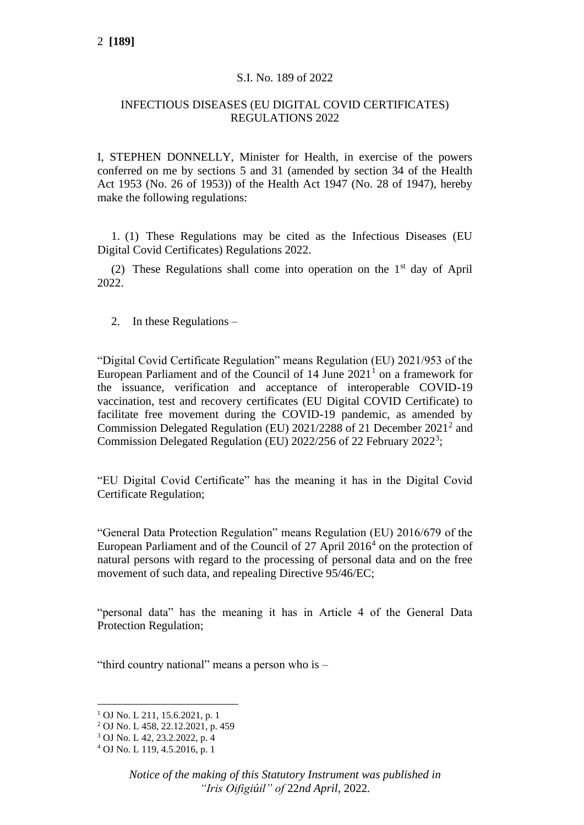### S.I. No. 189 of 2022

## INFECTIOUS DISEASES (EU DIGITAL COVID CERTIFICATES) REGULATIONS 2022

I, STEPHEN DONNELLY, Minister for Health, in exercise of the powers conferred on me by sections 5 and 31 (amended by section 34 of the Health Act 1953 (No. 26 of 1953)) of the Health Act 1947 (No. 28 of 1947), hereby make the following regulations:

1. (1) These Regulations may be cited as the Infectious Diseases (EU Digital Covid Certificates) Regulations 2022.

(2) These Regulations shall come into operation on the 1st day of April 2022.

2. In these Regulations –

"Digital Covid Certificate Regulation" means Regulation (EU) 2021/953 of the European Parliament and of the Council of  $14$  June  $2021<sup>1</sup>$  on a framework for the issuance, verification and acceptance of interoperable COVID-19 vaccination, test and recovery certificates (EU Digital COVID Certificate) to facilitate free movement during the COVID-19 pandemic, as amended by Commission Delegated Regulation (EU) 2021/2288 of 21 December 2021<sup>2</sup> and Commission Delegated Regulation (EU) 2022/256 of 22 February 2022<sup>3</sup>;

"EU Digital Covid Certificate" has the meaning it has in the Digital Covid Certificate Regulation;

"General Data Protection Regulation" means Regulation (EU) 2016/679 of the European Parliament and of the Council of 27 April 2016<sup>4</sup> on the protection of natural persons with regard to the processing of personal data and on the free movement of such data, and repealing Directive 95/46/EC;

"personal data" has the meaning it has in Article 4 of the General Data Protection Regulation;

"third country national" means a person who is –

<sup>1</sup> OJ No. L 211, 15.6.2021, p. 1

<sup>2</sup> OJ No. L 458, 22.12.2021, p. 459

<sup>3</sup> OJ No. L 42, 23.2.2022, p. 4

<sup>4</sup> OJ No. L 119, 4.5.2016, p. 1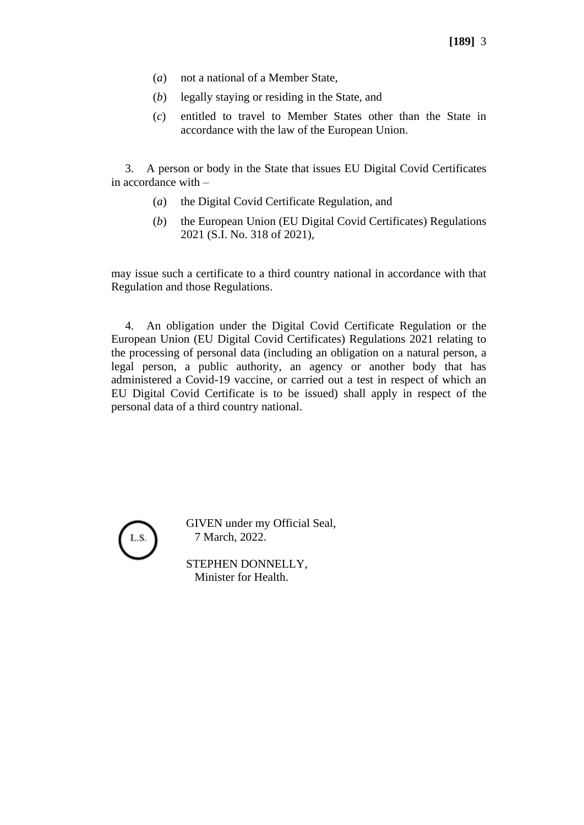- (*a*) not a national of a Member State,
- (*b*) legally staying or residing in the State, and
- (*c*) entitled to travel to Member States other than the State in accordance with the law of the European Union.

3. A person or body in the State that issues EU Digital Covid Certificates in accordance with –

- (*a*) the Digital Covid Certificate Regulation, and
- (*b*) the European Union (EU Digital Covid Certificates) Regulations 2021 (S.I. No. 318 of 2021),

may issue such a certificate to a third country national in accordance with that Regulation and those Regulations.

4. An obligation under the Digital Covid Certificate Regulation or the European Union (EU Digital Covid Certificates) Regulations 2021 relating to the processing of personal data (including an obligation on a natural person, a legal person, a public authority, an agency or another body that has administered a Covid-19 vaccine, or carried out a test in respect of which an EU Digital Covid Certificate is to be issued) shall apply in respect of the personal data of a third country national.



GIVEN under my Official Seal, 7 March, 2022.

STEPHEN DONNELLY, Minister for Health.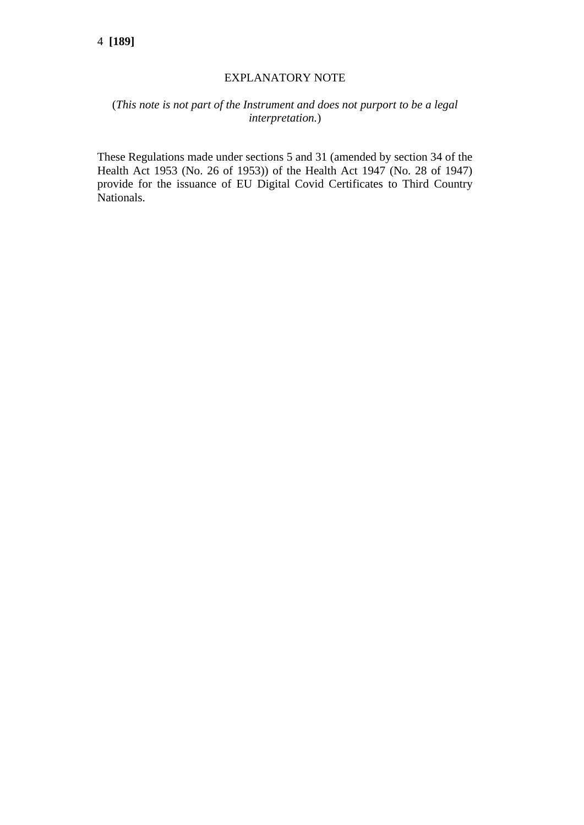#### EXPLANATORY NOTE

## (*This note is not part of the Instrument and does not purport to be a legal interpretation.*)

These Regulations made under sections 5 and 31 (amended by section 34 of the Health Act 1953 (No. 26 of 1953)) of the Health Act 1947 (No. 28 of 1947) provide for the issuance of EU Digital Covid Certificates to Third Country Nationals.